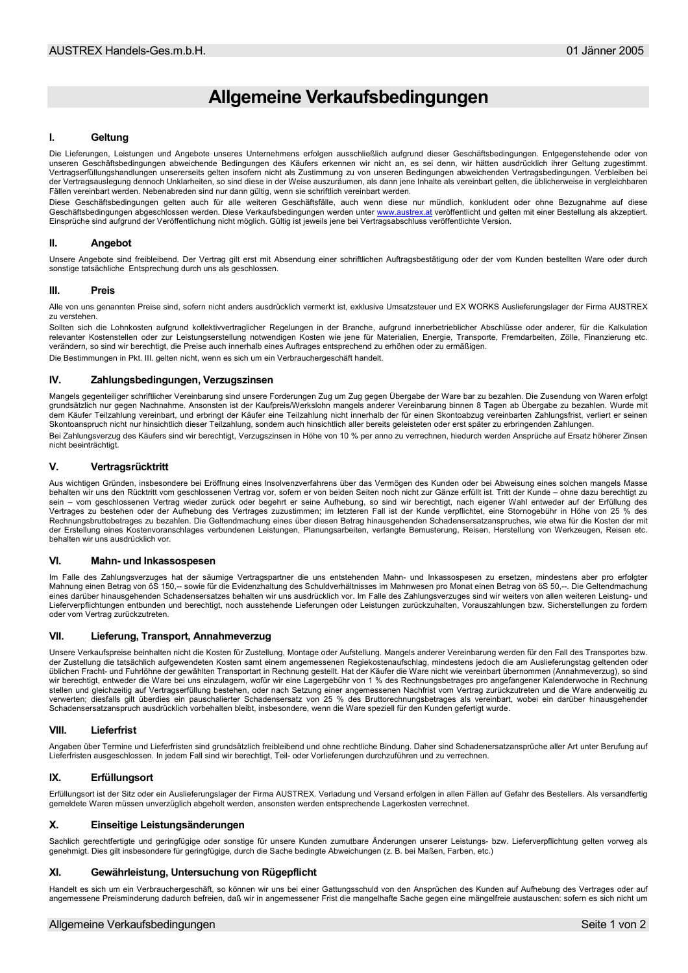# Allgemeine Verkaufsbedingungen

#### $\mathbf{I}$ Geltung

Die Lieferungen, Leistungen und Angebote unseres Unternehmens erfolgen ausschließlich aufgrund dieser Geschäftsbedingungen. Entgegenstehende oder von unseren Geschäftsbedingungen abweichende Bedingungen des Käufers erkennen wir nicht an, es sei denn, wir hätten ausdrücklich ihrer Geltung zugestimmt.<br>Vertragserfüllungshandlungen unsererseits gelten insofern nicht als Zus der Vertragsauslegung dennoch Unklarheiten, so sind diese in der Weise auszuräumen, als dann jene Inhalte als vereinbart gelten, die üblicherweise in vergleichbaren Fällen vereinbart werden. Nebenabreden sind nur dann gültig, wenn sie schriftlich vereinbart werden.

Diese Geschäftsbedingungen gelten auch für alle weiteren Geschäftsfälle, auch wenn diese nur mündlich, konkludent oder ohne Bezugnahme auf diese<br>Geschäftsbedingungen abgeschlossen werden. Diese Verkaufsbedingungen werden u Einsprüche sind aufgrund der Veröffentlichung nicht möglich. Gültig ist jeweils jene bei Vertragsabschluss veröffentlichte Version.

#### H. Angebot

Unsere Angebote sind freibleibend. Der Vertrag gilt erst mit Absendung einer schriftlichen Auftragsbestätigung oder der vom Kunden bestellten Ware oder durch sonstige tatsächliche Entsprechung durch uns als geschlossen.

#### $\mathbf{m}$ **Proje**

Alle von uns genannten Preise sind, sofern nicht anders ausdrücklich vermerkt ist, exklusive Umsatzsteuer und EX WORKS Auslieferungslager der Firma AUSTREX zu verstehen

Sollten sich die Lohnkosten aufgrund kollektivvertraglicher Regelungen in der Branche, aufgrund innerbetrieblicher Abschlüsse oder anderer, für die Kalkulation relevanter Kostenstellen oder zur Leistungserstellung notwendigen Kosten wie jene für Materialien, Energie, Transporte, Fremdarbeiten, Zölle, Finanzierung etc. verändern, so sind wir berechtigt, die Preise auch innerhalb eines Auftrages entsprechend zu erhöhen oder zu ermäßigen. Die Bestimmungen in Pkt. III. gelten nicht, wenn es sich um ein Verbrauchergeschäft handelt.

### IV. Zahlungsbedingungen, Verzugszinsen

Mangels gegenteiliger schriftlicher Vereinbarung sind unsere Forderungen Zug um Zug gegen Übergabe der Ware bar zu bezahlen. Die Zusendung von Waren erfolgt<br>grundsätzlich nur gegen Nachnahme. Ansonsten ist der Kaufpreis/We dem Käufer Teilzahlung vereinbart, und erbringt der Käufer eine Teilzahlung nicht innerhalb der für einen Skontoabzug vereinbarten Zahlungsfrist, verliert er seinen Skontoanspruch nicht nur hinsichtlich dieser Teilzahlung, sondern auch hinsichtlich aller bereits geleisteten oder erst später zu erbringenden Zahlungen. Bei Zahlungsverzug des Käufers sind wir berechtigt, Verzugszinsen in Höhe von 10 % per anno zu verrechnen, hiedurch werden Ansprüche auf Ersatz höherer Zinsen

## nicht beeinträchtigt.

#### $\mathbf{V}$ Vertragsrücktritt

Aus wichtigen Gründen, insbesondere bei Eröffnung eines Insolvenzverfahrens über das Vermögen des Kunden oder bei Abweisung eines solchen mangels Masse behalten wir uns den Rücktritt vom geschlossenen Vertrag vor, sofern er von beiden Seiten noch nicht zur Gänze erfüllt ist. Tritt der Kunde - ohne dazu berechtigt zu sein - vom geschlossenen Vertrag wieder zurück oder begehrt er seine Aufhebung, so sind wir berechtigt, nach eigener Wahl entweder auf der Erfüllung des Vertrages zu bestehen oder der Aufhebung des Vertrages zuzustimmen; im letzteren Fall ist der Kunde verpflichtet, eine Stornogebühr in Höhe von 25 % des Rechnungsbruttobetrages zu bezahlen. Die Geltendmachung eines über diesen Betrag hinausgehenden Schadensersatzanspruches, wie etwa für die Kosten der mit der Erstellung eines Kostenvoranschlages verbundenen Leistungen, Planungsarbeiten, verlangte Bemusterung, Reisen, Herstellung von Werkzeugen, Reisen etc. behalten wir uns ausdrücklich vor.

#### Mahn- und Inkassospesen  $\mathbf{V}$

Im Falle des Zahlungsverzuges hat der säumige Vertragspartner die uns entstehenden Mahn- und Inkassospesen zu ersetzen, mindestens aber pro erfolgter Mahnung einen Betrag von öS 150,- sowie für die Evidenzhaltung des Schuldverhältnisses im Mahnwesen pro Monat einen Betrag von öS 50,--. Die Geltendmachung eines darüber hinausgehenden Schadensersatzes behalten wir uns ausdrücklich vor. Im Falle des Zahlungsverzuges sind wir weiters von allen weiteren Leistung- und Lieferverpflichtungen entbunden und berechtigt, noch ausstehende Lieferungen oder Leistungen zurückzuhalten, Vorauszahlungen bzw. Sicherstellungen zu fordern oder vom Vertrag zurückzutreten.

#### VII Lieferung, Transport, Annahmeverzug

Unsere Verkaufspreise beinhalten nicht die Kosten für Zustellung, Montage oder Aufstellung. Mangels anderer Vereinbarung werden für den Fall des Transportes bzw.<br>der Zustellung die tatsächlich aufgewendeten Kosten samt ein üblichen Fracht- und Fuhrlöhne der gewählten Transportart in Rechnung gestellt. Hat der Käufer die Ware nicht wie vereinbart übernommen (Annahmeverzug), so sind wir berechtigt, entweder die Ware bei uns einzulagern, wofür wir eine Lagergebühr von 1 % des Rechnungsbetrages pro angefangener Kalenderwoche in Rechnung stellen und gleichzeitig auf Vertragserfüllung bestehen, oder nach Setzung einer angemessenen Nachfrist vom Vertrag zurückzutreten und die Ware anderweitig zu verwerten; diesfalls gilt überdies ein pauschalierter Schadensersatz von 25 % des Bruttorechnungsbetrages als vereinbart, wobei ein darüber hinausgehender Schadensersatzanspruch ausdrücklich vorbehalten bleibt, insbesondere, wenn die Ware speziell für den Kunden gefertigt wurde.

#### **VIII** Lieferfrist

Angaben über Termine und Lieferfristen sind grundsätzlich freibleibend und ohne rechtliche Bindung. Daher sind Schadenersatzansprüche aller Art unter Berufung auf Lieferfristen ausgeschlossen. In jedem Fall sind wir berechtigt, Teil- oder Vorlieferungen durchzuführen und zu verrechnen.

#### IX. Erfüllungsort

Erfüllungsort ist der Sitz oder ein Auslieferungslager der Firma AUSTREX. Verladung und Versand erfolgen in allen Fällen auf Gefahr des Bestellers. Als versandfertig gemeldete Waren müssen unverzüglich abgeholt werden, ansonsten werden entsprechende Lagerkosten verrechnet.

#### $\mathbf{x}$ Einseitige Leistungsänderungen

Sachlich gerechtfertigte und geringfügige oder sonstige für unsere Kunden zumutbare Änderungen unserer Leistungs- bzw. Lieferverpflichtung gelten vorweg als genehmigt. Dies gilt insbesondere für geringfügige, durch die Sache bedingte Abweichungen (z. B. bei Maßen, Farben, etc.)

#### $\mathbf{X}$ Gewährleistung. Untersuchung von Rügepflicht

Handelt es sich um ein Verbrauchergeschäft, so können wir uns bei einer Gattungsschuld von den Ansprüchen des Kunden auf Aufhebung des Vertrages oder auf angemessene Preisminderung dadurch befreien, daß wir in angemessener Frist die mangelhafte Sache gegen eine mängelfreie austauschen: sofern es sich nicht um